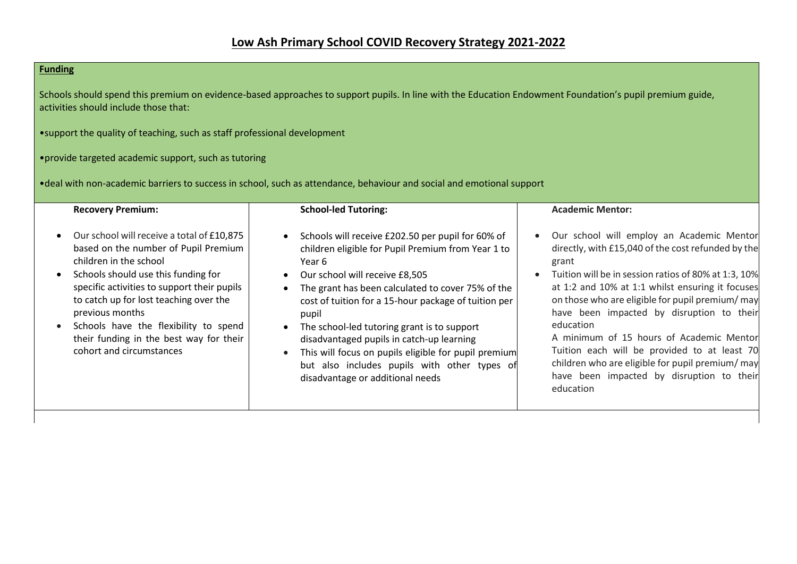## **Funding**

Schools should spend this premium on evidence-based approaches to support pupils. In line with the Education Endowment Foundation's pupil premium guide, activities should include those that:

•support the quality of teaching, such as staff professional development

## •provide targeted academic support, such as tutoring

•deal with non-academic barriers to success in school, such as attendance, behaviour and social and emotional support

| <b>Recovery Premium:</b>                                                                                                                                                                                                                                                                                                                                                                                               | <b>School-led Tutoring:</b>                                                                                                                                                                                                                                                                                                                                                                                                                                                                                       | <b>Academic Mentor:</b>                                                                                                                                                                                                                                                                                                                                                                                                                                                                                                                      |
|------------------------------------------------------------------------------------------------------------------------------------------------------------------------------------------------------------------------------------------------------------------------------------------------------------------------------------------------------------------------------------------------------------------------|-------------------------------------------------------------------------------------------------------------------------------------------------------------------------------------------------------------------------------------------------------------------------------------------------------------------------------------------------------------------------------------------------------------------------------------------------------------------------------------------------------------------|----------------------------------------------------------------------------------------------------------------------------------------------------------------------------------------------------------------------------------------------------------------------------------------------------------------------------------------------------------------------------------------------------------------------------------------------------------------------------------------------------------------------------------------------|
| Our school will receive a total of £10,875<br>$\bullet$<br>based on the number of Pupil Premium<br>children in the school<br>Schools should use this funding for<br>$\bullet$<br>specific activities to support their pupils<br>to catch up for lost teaching over the<br>previous months<br>Schools have the flexibility to spend<br>$\bullet$<br>their funding in the best way for their<br>cohort and circumstances | Schools will receive £202.50 per pupil for 60% of<br>children eligible for Pupil Premium from Year 1 to<br>Year 6<br>Our school will receive £8,505<br>The grant has been calculated to cover 75% of the<br>cost of tuition for a 15-hour package of tuition per<br>pupil<br>The school-led tutoring grant is to support<br>disadvantaged pupils in catch-up learning<br>This will focus on pupils eligible for pupil premium<br>but also includes pupils with other types of<br>disadvantage or additional needs | Our school will employ an Academic Mentor<br>directly, with £15,040 of the cost refunded by the<br>grant<br>Tuition will be in session ratios of 80% at 1:3, 10%<br>at 1:2 and 10% at 1:1 whilst ensuring it focuses<br>on those who are eligible for pupil premium/ may<br>have been impacted by disruption to their<br>education<br>A minimum of 15 hours of Academic Mentor<br>Tuition each will be provided to at least 70<br>children who are eligible for pupil premium/ may<br>have been impacted by disruption to their<br>education |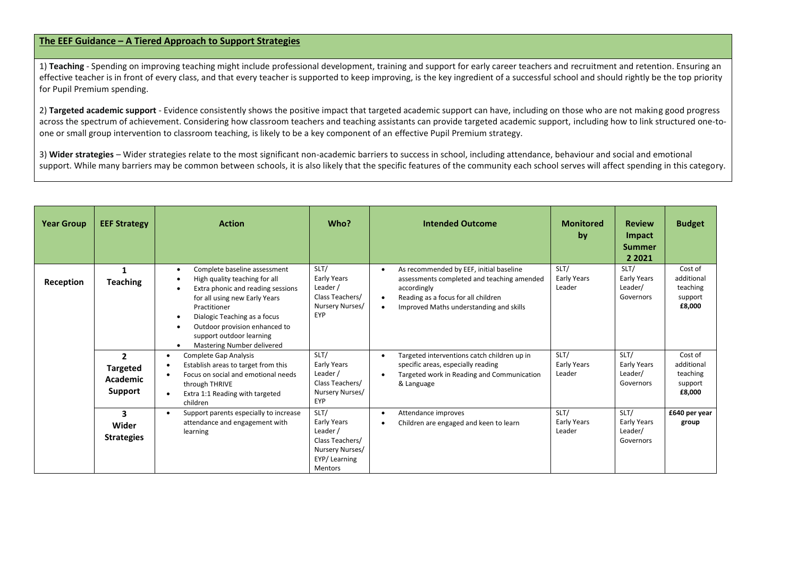## **The EEF Guidance – A Tiered Approach to Support Strategies**

1) Teaching - Spending on improving teaching might include professional development, training and support for early career teachers and recruitment and retention. Ensuring an effective teacher is in front of every class, and that every teacher is supported to keep improving, is the key ingredient of a successful school and should rightly be the top priority for Pupil Premium spending.

2) **Targeted academic support** - Evidence consistently shows the positive impact that targeted academic support can have, including on those who are not making good progress across the spectrum of achievement. Considering how classroom teachers and teaching assistants can provide targeted academic support, including how to link structured one-toone or small group intervention to classroom teaching, is likely to be a key component of an effective Pupil Premium strategy.

3) **Wider strategies** – Wider strategies relate to the most significant non-academic barriers to success in school, including attendance, behaviour and social and emotional support. While many barriers may be common between schools, it is also likely that the specific features of the community each school serves will affect spending in this category.

| <b>Year Group</b> | <b>EEF Strategy</b>                                             | <b>Action</b>                                                                                                                                                                                                                                                                                                                      | Who?                                                                                                    | <b>Intended Outcome</b>                                                                                                                                                                | <b>Monitored</b><br>by        | <b>Review</b><br>Impact<br><b>Summer</b><br>2 2 0 2 1 | <b>Budget</b>                                          |
|-------------------|-----------------------------------------------------------------|------------------------------------------------------------------------------------------------------------------------------------------------------------------------------------------------------------------------------------------------------------------------------------------------------------------------------------|---------------------------------------------------------------------------------------------------------|----------------------------------------------------------------------------------------------------------------------------------------------------------------------------------------|-------------------------------|-------------------------------------------------------|--------------------------------------------------------|
| Reception         | <b>Teaching</b>                                                 | Complete baseline assessment<br>$\bullet$<br>High quality teaching for all<br>$\bullet$<br>Extra phonic and reading sessions<br>for all using new Early Years<br>Practitioner<br>Dialogic Teaching as a focus<br>$\bullet$<br>Outdoor provision enhanced to<br>$\bullet$<br>support outdoor learning<br>Mastering Number delivered | SLT/<br>Early Years<br>Leader /<br>Class Teachers/<br>Nursery Nurses/<br><b>EYP</b>                     | As recommended by EEF, initial baseline<br>assessments completed and teaching amended<br>accordingly<br>Reading as a focus for all children<br>Improved Maths understanding and skills | SLT/<br>Early Years<br>Leader | SLT/<br><b>Early Years</b><br>Leader/<br>Governors    | Cost of<br>additional<br>teaching<br>support<br>£8,000 |
|                   | $\overline{2}$<br><b>Targeted</b><br><b>Academic</b><br>Support | Complete Gap Analysis<br>$\bullet$<br>Establish areas to target from this<br>$\bullet$<br>Focus on social and emotional needs<br>$\bullet$<br>through THRIVE<br>Extra 1:1 Reading with targeted<br>$\bullet$<br>children                                                                                                           | SLT/<br>Early Years<br>Leader /<br>Class Teachers/<br>Nursery Nurses/<br><b>EYP</b>                     | Targeted interventions catch children up in<br>specific areas, especially reading<br>Targeted work in Reading and Communication<br>& Language                                          | SLT/<br>Early Years<br>Leader | SLT/<br>Early Years<br>Leader/<br>Governors           | Cost of<br>additional<br>teaching<br>support<br>£8,000 |
|                   | 3<br>Wider<br><b>Strategies</b>                                 | Support parents especially to increase<br>$\bullet$<br>attendance and engagement with<br>learning                                                                                                                                                                                                                                  | SLT/<br>Early Years<br>Leader /<br>Class Teachers/<br>Nursery Nurses/<br>EYP/Learning<br><b>Mentors</b> | Attendance improves<br>Children are engaged and keen to learn                                                                                                                          | SLT/<br>Early Years<br>Leader | SLT/<br><b>Early Years</b><br>Leader/<br>Governors    | £640 per year<br>group                                 |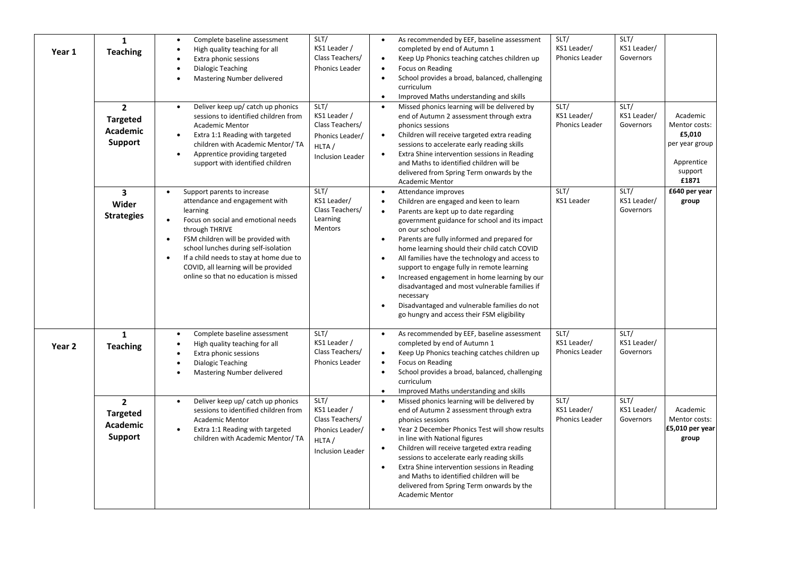| Year 1 | $\mathbf{1}$<br><b>Teaching</b><br>$\overline{2}$                      | Complete baseline assessment<br>$\bullet$<br>High quality teaching for all<br>$\bullet$<br>Extra phonic sessions<br>$\bullet$<br>Dialogic Teaching<br>$\bullet$<br>Mastering Number delivered<br>Deliver keep up/ catch up phonics<br>$\bullet$                                                                                                                                                  | SLT/<br>KS1 Leader /<br>Class Teachers/<br>Phonics Leader<br>SLT/                              | As recommended by EEF, baseline assessment<br>completed by end of Autumn 1<br>Keep Up Phonics teaching catches children up<br>Focus on Reading<br>School provides a broad, balanced, challenging<br>curriculum<br>Improved Maths understanding and skills<br>$\bullet$<br>Missed phonics learning will be delivered by                                                                                                                                                                                                                                                                                        | SLT/<br>KS1 Leader/<br>Phonics Leader<br>SLT/ | SLT/<br>KS1 Leader/<br>Governors<br>SLT/ |                                                                                         |
|--------|------------------------------------------------------------------------|--------------------------------------------------------------------------------------------------------------------------------------------------------------------------------------------------------------------------------------------------------------------------------------------------------------------------------------------------------------------------------------------------|------------------------------------------------------------------------------------------------|---------------------------------------------------------------------------------------------------------------------------------------------------------------------------------------------------------------------------------------------------------------------------------------------------------------------------------------------------------------------------------------------------------------------------------------------------------------------------------------------------------------------------------------------------------------------------------------------------------------|-----------------------------------------------|------------------------------------------|-----------------------------------------------------------------------------------------|
|        | <b>Targeted</b><br><b>Academic</b><br><b>Support</b>                   | sessions to identified children from<br><b>Academic Mentor</b><br>Extra 1:1 Reading with targeted<br>$\bullet$<br>children with Academic Mentor/ TA<br>Apprentice providing targeted<br>$\bullet$<br>support with identified children                                                                                                                                                            | KS1 Leader /<br>Class Teachers/<br>Phonics Leader/<br>HLTA/<br><b>Inclusion Leader</b>         | end of Autumn 2 assessment through extra<br>phonics sessions<br>Children will receive targeted extra reading<br>$\bullet$<br>sessions to accelerate early reading skills<br>Extra Shine intervention sessions in Reading<br>$\bullet$<br>and Maths to identified children will be<br>delivered from Spring Term onwards by the<br><b>Academic Mentor</b>                                                                                                                                                                                                                                                      | KS1 Leader/<br>Phonics Leader                 | KS1 Leader/<br>Governors                 | Academic<br>Mentor costs:<br>£5,010<br>per year group<br>Apprentice<br>support<br>£1871 |
|        | $\overline{\mathbf{3}}$<br>Wider<br><b>Strategies</b>                  | Support parents to increase<br>$\bullet$<br>attendance and engagement with<br>learning<br>Focus on social and emotional needs<br>$\bullet$<br>through THRIVE<br>FSM children will be provided with<br>$\bullet$<br>school lunches during self-isolation<br>If a child needs to stay at home due to<br>$\bullet$<br>COVID, all learning will be provided<br>online so that no education is missed | SLT/<br>KS1 Leader/<br>Class Teachers/<br>Learning<br>Mentors                                  | Attendance improves<br>Children are engaged and keen to learn<br>$\bullet$<br>Parents are kept up to date regarding<br>government guidance for school and its impact<br>on our school<br>Parents are fully informed and prepared for<br>$\bullet$<br>home learning should their child catch COVID<br>All families have the technology and access to<br>support to engage fully in remote learning<br>Increased engagement in home learning by our<br>disadvantaged and most vulnerable families if<br>necessary<br>Disadvantaged and vulnerable families do not<br>go hungry and access their FSM eligibility | SLT/<br><b>KS1 Leader</b>                     | SLT/<br>KS1 Leader/<br>Governors         | £640 per year<br>group                                                                  |
| Year 2 | $\mathbf{1}$<br><b>Teaching</b>                                        | Complete baseline assessment<br>$\bullet$<br>High quality teaching for all<br>$\bullet$<br>$\bullet$<br>Extra phonic sessions<br>Dialogic Teaching<br>$\bullet$<br>Mastering Number delivered<br>$\bullet$                                                                                                                                                                                       | SLT/<br>KS1 Leader /<br>Class Teachers/<br>Phonics Leader                                      | As recommended by EEF, baseline assessment<br>$\bullet$<br>completed by end of Autumn 1<br>Keep Up Phonics teaching catches children up<br>Focus on Reading<br>School provides a broad, balanced, challenging<br>curriculum<br>Improved Maths understanding and skills                                                                                                                                                                                                                                                                                                                                        | SLT/<br>KS1 Leader/<br>Phonics Leader         | SLT/<br>KS1 Leader/<br>Governors         |                                                                                         |
|        | $\overline{2}$<br><b>Targeted</b><br><b>Academic</b><br><b>Support</b> | Deliver keep up/ catch up phonics<br>$\bullet$<br>sessions to identified children from<br><b>Academic Mentor</b><br>Extra 1:1 Reading with targeted<br>children with Academic Mentor/ TA                                                                                                                                                                                                         | SLT/<br>KS1 Leader /<br>Class Teachers/<br>Phonics Leader/<br>HLTA/<br><b>Inclusion Leader</b> | Missed phonics learning will be delivered by<br>end of Autumn 2 assessment through extra<br>phonics sessions<br>Year 2 December Phonics Test will show results<br>in line with National figures<br>Children will receive targeted extra reading<br>sessions to accelerate early reading skills<br>Extra Shine intervention sessions in Reading<br>and Maths to identified children will be<br>delivered from Spring Term onwards by the<br><b>Academic Mentor</b>                                                                                                                                             | SLT/<br>KS1 Leader/<br>Phonics Leader         | SLT/<br>KS1 Leader/<br>Governors         | Academic<br>Mentor costs:<br>£5,010 per year<br>group                                   |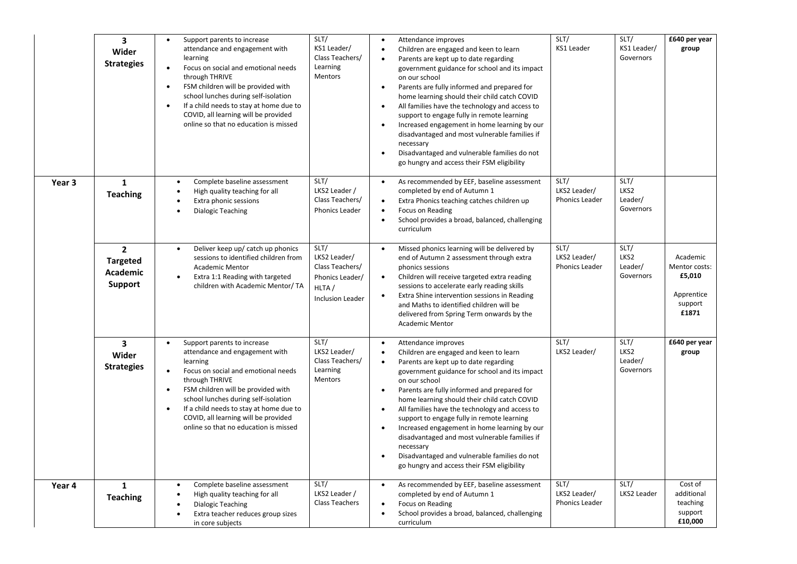|                   | 3<br>Wider<br><b>Strategies</b>                                        | Support parents to increase<br>$\bullet$<br>attendance and engagement with<br>learning<br>$\bullet$<br>Focus on social and emotional needs<br>through THRIVE<br>FSM children will be provided with<br>$\bullet$<br>school lunches during self-isolation<br>If a child needs to stay at home due to<br>$\bullet$<br>COVID, all learning will be provided<br>online so that no education is missed | SLT/<br>KS1 Leader/<br>Class Teachers/<br>Learning<br>Mentors                                  | Attendance improves<br>$\bullet$<br>Children are engaged and keen to learn<br>$\bullet$<br>Parents are kept up to date regarding<br>government guidance for school and its impact<br>on our school<br>Parents are fully informed and prepared for<br>$\bullet$<br>home learning should their child catch COVID<br>All families have the technology and access to<br>$\bullet$<br>support to engage fully in remote learning<br>Increased engagement in home learning by our<br>disadvantaged and most vulnerable families if<br>necessary<br>Disadvantaged and vulnerable families do not<br>$\bullet$<br>go hungry and access their FSM eligibility                           | SLT/<br><b>KS1 Leader</b>                     | SLT/<br>KS1 Leader/<br>Governors     | £640 per year<br>group                                                |
|-------------------|------------------------------------------------------------------------|--------------------------------------------------------------------------------------------------------------------------------------------------------------------------------------------------------------------------------------------------------------------------------------------------------------------------------------------------------------------------------------------------|------------------------------------------------------------------------------------------------|--------------------------------------------------------------------------------------------------------------------------------------------------------------------------------------------------------------------------------------------------------------------------------------------------------------------------------------------------------------------------------------------------------------------------------------------------------------------------------------------------------------------------------------------------------------------------------------------------------------------------------------------------------------------------------|-----------------------------------------------|--------------------------------------|-----------------------------------------------------------------------|
| Year <sub>3</sub> | $\mathbf{1}$<br><b>Teaching</b>                                        | Complete baseline assessment<br>$\bullet$<br>High quality teaching for all<br>$\bullet$<br>Extra phonic sessions<br>$\bullet$<br><b>Dialogic Teaching</b><br>$\bullet$                                                                                                                                                                                                                           | SLT/<br>LKS2 Leader /<br>Class Teachers/<br>Phonics Leader                                     | As recommended by EEF, baseline assessment<br>$\bullet$<br>completed by end of Autumn 1<br>Extra Phonics teaching catches children up<br>$\bullet$<br>Focus on Reading<br>$\bullet$<br>School provides a broad, balanced, challenging<br>$\bullet$<br>curriculum                                                                                                                                                                                                                                                                                                                                                                                                               | SLT/<br>LKS2 Leader/<br><b>Phonics Leader</b> | SLT/<br>LKS2<br>Leader/<br>Governors |                                                                       |
|                   | $\overline{2}$<br><b>Targeted</b><br><b>Academic</b><br><b>Support</b> | Deliver keep up/ catch up phonics<br>$\bullet$<br>sessions to identified children from<br><b>Academic Mentor</b><br>Extra 1:1 Reading with targeted<br>$\bullet$<br>children with Academic Mentor/ TA                                                                                                                                                                                            | SLT/<br>LKS2 Leader/<br>Class Teachers/<br>Phonics Leader/<br>HLTA/<br><b>Inclusion Leader</b> | Missed phonics learning will be delivered by<br>$\bullet$<br>end of Autumn 2 assessment through extra<br>phonics sessions<br>Children will receive targeted extra reading<br>$\bullet$<br>sessions to accelerate early reading skills<br>Extra Shine intervention sessions in Reading<br>$\bullet$<br>and Maths to identified children will be<br>delivered from Spring Term onwards by the<br><b>Academic Mentor</b>                                                                                                                                                                                                                                                          | SLT/<br>LKS2 Leader/<br>Phonics Leader        | SLT/<br>LKS2<br>Leader/<br>Governors | Academic<br>Mentor costs:<br>£5,010<br>Apprentice<br>support<br>£1871 |
|                   | $\overline{\mathbf{3}}$<br>Wider<br><b>Strategies</b>                  | Support parents to increase<br>$\bullet$<br>attendance and engagement with<br>learning<br>Focus on social and emotional needs<br>$\bullet$<br>through THRIVE<br>FSM children will be provided with<br>$\bullet$<br>school lunches during self-isolation<br>If a child needs to stay at home due to<br>$\bullet$<br>COVID, all learning will be provided<br>online so that no education is missed | SLT/<br>LKS2 Leader/<br>Class Teachers/<br>Learning<br>Mentors                                 | Attendance improves<br>$\bullet$<br>Children are engaged and keen to learn<br>$\bullet$<br>Parents are kept up to date regarding<br>$\bullet$<br>government guidance for school and its impact<br>on our school<br>Parents are fully informed and prepared for<br>$\bullet$<br>home learning should their child catch COVID<br>All families have the technology and access to<br>$\bullet$<br>support to engage fully in remote learning<br>Increased engagement in home learning by our<br>$\bullet$<br>disadvantaged and most vulnerable families if<br>necessary<br>Disadvantaged and vulnerable families do not<br>$\bullet$<br>go hungry and access their FSM eligibility | SLT/<br>LKS2 Leader/                          | SLT/<br>LKS2<br>Leader/<br>Governors | £640 per year<br>group                                                |
| Year 4            | 1<br><b>Teaching</b>                                                   | Complete baseline assessment<br>$\bullet$<br>High quality teaching for all<br>$\bullet$<br>Dialogic Teaching<br>$\bullet$<br>Extra teacher reduces group sizes<br>in core subjects                                                                                                                                                                                                               | SLT/<br>LKS2 Leader /<br><b>Class Teachers</b>                                                 | As recommended by EEF, baseline assessment<br>$\bullet$<br>completed by end of Autumn 1<br>Focus on Reading<br>School provides a broad, balanced, challenging<br>$\bullet$<br>curriculum                                                                                                                                                                                                                                                                                                                                                                                                                                                                                       | SLT/<br>LKS2 Leader/<br>Phonics Leader        | SLT/<br>LKS2 Leader                  | Cost of<br>additional<br>teaching<br>support<br>£10,000               |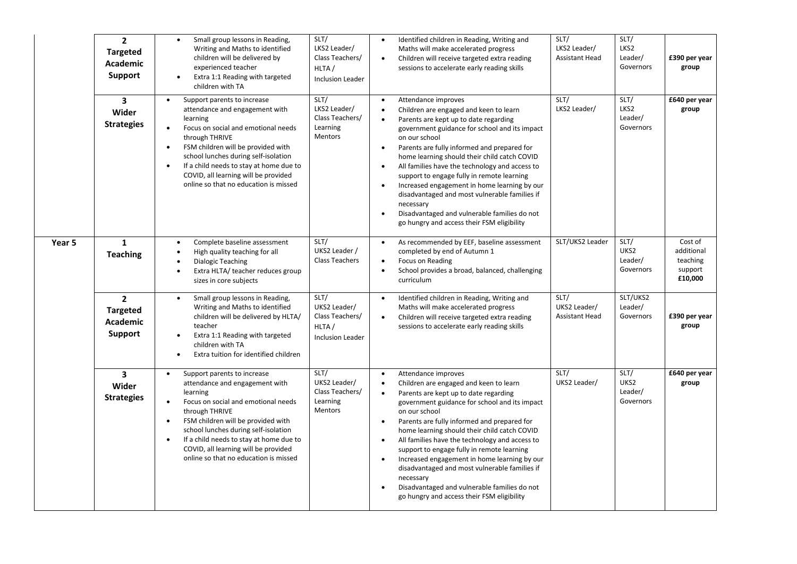|        | $\overline{2}$<br><b>Targeted</b><br>Academic<br>Support               | Small group lessons in Reading,<br>$\bullet$<br>Writing and Maths to identified<br>children will be delivered by<br>experienced teacher<br>Extra 1:1 Reading with targeted<br>$\bullet$<br>children with TA                                                                                                                                                                                      | SLT/<br>LKS2 Leader/<br>Class Teachers/<br>HLTA/<br><b>Inclusion Leader</b> | Identified children in Reading, Writing and<br>$\bullet$<br>Maths will make accelerated progress<br>Children will receive targeted extra reading<br>$\bullet$<br>sessions to accelerate early reading skills                                                                                                                                                                                                                                                                                                                                                                                                                                         | SLT/<br>LKS2 Leader/<br><b>Assistant Head</b> | SLT/<br>LKS2<br>Leader/<br>Governors | £390 per year<br>group                                  |
|--------|------------------------------------------------------------------------|--------------------------------------------------------------------------------------------------------------------------------------------------------------------------------------------------------------------------------------------------------------------------------------------------------------------------------------------------------------------------------------------------|-----------------------------------------------------------------------------|------------------------------------------------------------------------------------------------------------------------------------------------------------------------------------------------------------------------------------------------------------------------------------------------------------------------------------------------------------------------------------------------------------------------------------------------------------------------------------------------------------------------------------------------------------------------------------------------------------------------------------------------------|-----------------------------------------------|--------------------------------------|---------------------------------------------------------|
|        | 3<br>Wider<br><b>Strategies</b>                                        | Support parents to increase<br>$\bullet$<br>attendance and engagement with<br>learning<br>Focus on social and emotional needs<br>$\bullet$<br>through THRIVE<br>FSM children will be provided with<br>$\bullet$<br>school lunches during self-isolation<br>If a child needs to stay at home due to<br>$\bullet$<br>COVID, all learning will be provided<br>online so that no education is missed | SLT/<br>LKS2 Leader/<br>Class Teachers/<br>Learning<br>Mentors              | Attendance improves<br>$\bullet$<br>Children are engaged and keen to learn<br>Parents are kept up to date regarding<br>$\bullet$<br>government guidance for school and its impact<br>on our school<br>Parents are fully informed and prepared for<br>$\bullet$<br>home learning should their child catch COVID<br>All families have the technology and access to<br>$\bullet$<br>support to engage fully in remote learning<br>Increased engagement in home learning by our<br>disadvantaged and most vulnerable families if<br>necessary<br>Disadvantaged and vulnerable families do not<br>$\bullet$<br>go hungry and access their FSM eligibility | SLT/<br>LKS2 Leader/                          | SLT/<br>LKS2<br>Leader/<br>Governors | £640 per year<br>group                                  |
| Year 5 | $\mathbf{1}$<br><b>Teaching</b>                                        | Complete baseline assessment<br>$\bullet$<br>High quality teaching for all<br>$\bullet$<br><b>Dialogic Teaching</b><br>$\bullet$<br>Extra HLTA/ teacher reduces group<br>$\bullet$<br>sizes in core subjects                                                                                                                                                                                     | SLT/<br>UKS2 Leader /<br><b>Class Teachers</b>                              | As recommended by EEF, baseline assessment<br>$\bullet$<br>completed by end of Autumn 1<br>Focus on Reading<br>School provides a broad, balanced, challenging<br>$\bullet$<br>curriculum                                                                                                                                                                                                                                                                                                                                                                                                                                                             | SLT/UKS2 Leader                               | SLT/<br>UKS2<br>Leader/<br>Governors | Cost of<br>additional<br>teaching<br>support<br>£10,000 |
|        | $\overline{2}$<br><b>Targeted</b><br><b>Academic</b><br><b>Support</b> | Small group lessons in Reading,<br>$\bullet$<br>Writing and Maths to identified<br>children will be delivered by HLTA/<br>teacher<br>Extra 1:1 Reading with targeted<br>$\bullet$<br>children with TA<br>Extra tuition for identified children<br>$\bullet$                                                                                                                                      | SLT/<br>UKS2 Leader/<br>Class Teachers/<br>HLTA/<br><b>Inclusion Leader</b> | Identified children in Reading, Writing and<br>$\bullet$<br>Maths will make accelerated progress<br>Children will receive targeted extra reading<br>$\bullet$<br>sessions to accelerate early reading skills                                                                                                                                                                                                                                                                                                                                                                                                                                         | SLT/<br>UKS2 Leader/<br><b>Assistant Head</b> | SLT/UKS2<br>Leader/<br>Governors     | £390 per year<br>group                                  |
|        | $\overline{\mathbf{3}}$<br>Wider<br><b>Strategies</b>                  | Support parents to increase<br>$\bullet$<br>attendance and engagement with<br>learning<br>Focus on social and emotional needs<br>$\bullet$<br>through THRIVE<br>FSM children will be provided with<br>$\bullet$<br>school lunches during self-isolation<br>If a child needs to stay at home due to<br>$\bullet$<br>COVID, all learning will be provided<br>online so that no education is missed | SLT/<br>UKS2 Leader/<br>Class Teachers/<br>Learning<br>Mentors              | Attendance improves<br>$\bullet$<br>Children are engaged and keen to learn<br>Parents are kept up to date regarding<br>$\bullet$<br>government guidance for school and its impact<br>on our school<br>Parents are fully informed and prepared for<br>$\bullet$<br>home learning should their child catch COVID<br>All families have the technology and access to<br>$\bullet$<br>support to engage fully in remote learning<br>Increased engagement in home learning by our<br>disadvantaged and most vulnerable families if<br>necessary<br>Disadvantaged and vulnerable families do not<br>go hungry and access their FSM eligibility              | SLT/<br>UKS2 Leader/                          | SLT/<br>UKS2<br>Leader/<br>Governors | £640 per year<br>group                                  |